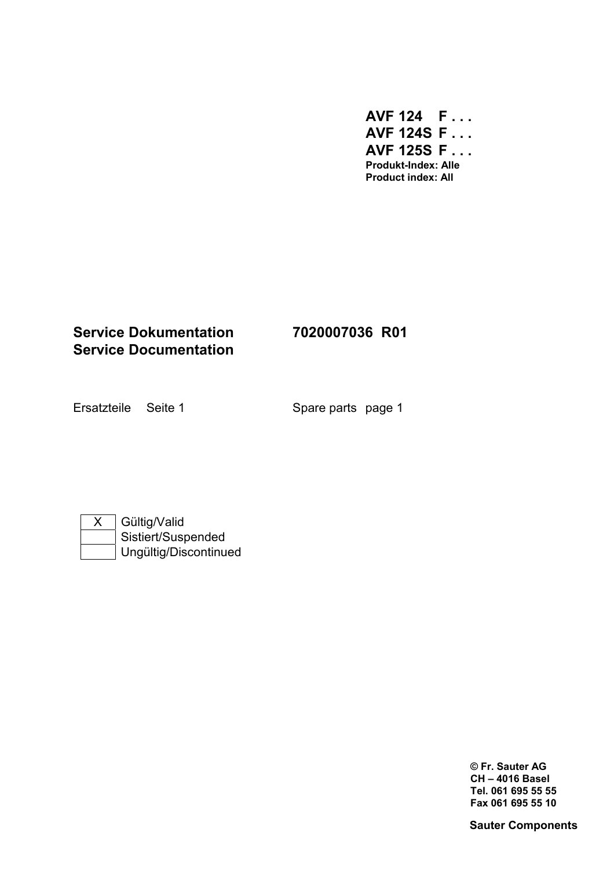**AVF 124 F . . . AVF 124S F . . . AVF 125S F . . . Produkt-Index: Alle Product index: All** 

## **Service Dokumentation 7020007036 R01 Service Documentation**

Ersatzteile Seite 1 Spare parts page 1

| Gültig/Valid          |
|-----------------------|
| Sistiert/Suspended    |
| Ungültig/Discontinued |

**© Fr. Sauter AG CH – 4016 Basel Tel. 061 695 55 55 Fax 061 695 55 10**

**Sauter Components**